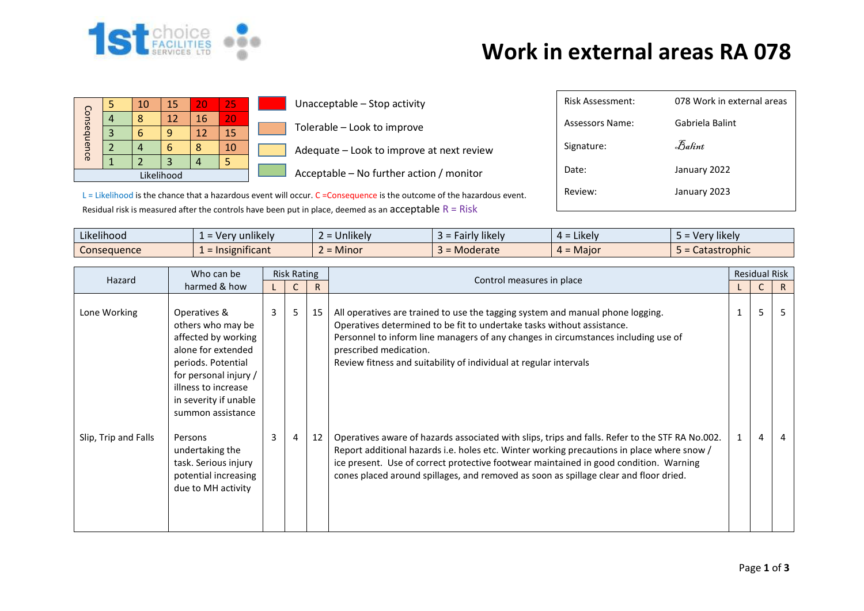

## **Work in external areas RA 078**

| Consequence | 10 | 15 | 20 | 25 |  |
|-------------|----|----|----|----|--|
|             | ႙  | 12 | 16 | 20 |  |
|             |    |    | 12 | 15 |  |
|             |    |    |    | 10 |  |
|             |    | 3  |    |    |  |
|             |    |    |    |    |  |

**Unacceptable – Stop activity** Tolerable – Look to improve  $\blacksquare$  Adequate – Look to improve at next review

 $\Box$  Acceptable – No further action / monitor

| Risk Assessment: | 078 Work in external areas     |
|------------------|--------------------------------|
| Assessors Name:  | Gabriela Balint                |
| Signature:       | $\mathcal{F}_{\mathit{abint}}$ |
| Date:            | January 2022                   |
| Review:          | January 2023                   |
|                  |                                |

 $L =$  Likelihood is the chance that a hazardous event will occur.  $C =$ Consequence is the outcome of the hazardous event. Residual risk is measured after the controls have been put in place, deemed as an acceptable  $R = R$ isk

| $\cdots$<br>$\cdots$<br>Likelihood | $\blacksquare$<br>unlikely<br>$- Ver$<br>-- | $\cdots$<br><b>Jnlikely</b> | <b><i>Fairly likely</i></b><br>-35 | .<br>$=$ Likely<br>≖ ∸ | .<br>Very likely    |
|------------------------------------|---------------------------------------------|-----------------------------|------------------------------------|------------------------|---------------------|
| Consequence                        | nsignificant<br>$=$ Ir                      | <b>Minor</b>                | Moderate                           | $=$ Major<br>$\mu =$   | <b>Catastrophic</b> |

| Hazard               | Who can be                                                                                                                                                                                         | <b>Risk Rating</b> |                |    | Control measures in place                                                                                                                                                                                                                                                                                                                                                       |   |                | <b>Residual Risk</b> |  |
|----------------------|----------------------------------------------------------------------------------------------------------------------------------------------------------------------------------------------------|--------------------|----------------|----|---------------------------------------------------------------------------------------------------------------------------------------------------------------------------------------------------------------------------------------------------------------------------------------------------------------------------------------------------------------------------------|---|----------------|----------------------|--|
|                      | harmed & how                                                                                                                                                                                       |                    |                | R  |                                                                                                                                                                                                                                                                                                                                                                                 |   |                | R.                   |  |
| Lone Working         | Operatives &<br>others who may be<br>affected by working<br>alone for extended<br>periods. Potential<br>for personal injury /<br>illness to increase<br>in severity if unable<br>summon assistance | $\overline{3}$     | 5              | 15 | All operatives are trained to use the tagging system and manual phone logging.<br>Operatives determined to be fit to undertake tasks without assistance.<br>Personnel to inform line managers of any changes in circumstances including use of<br>prescribed medication.<br>Review fitness and suitability of individual at regular intervals                                   |   | 5              |                      |  |
| Slip, Trip and Falls | Persons<br>undertaking the<br>task. Serious injury<br>potential increasing<br>due to MH activity                                                                                                   | 3                  | $\overline{4}$ | 12 | Operatives aware of hazards associated with slips, trips and falls. Refer to the STF RA No.002.<br>Report additional hazards i.e. holes etc. Winter working precautions in place where snow /<br>ice present. Use of correct protective footwear maintained in good condition. Warning<br>cones placed around spillages, and removed as soon as spillage clear and floor dried. | 1 | $\overline{4}$ |                      |  |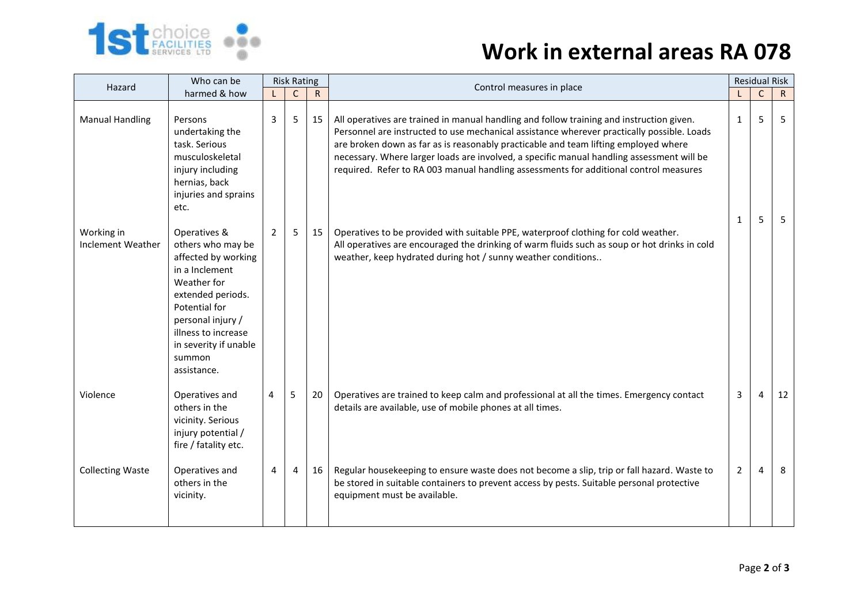

## **1st choice Constitution of the UK and Work in external areas RA 078**

| Hazard                          | Who can be                                                                                                                                                                                                                    | <b>Risk Rating</b><br>$\mathsf{R}$<br>$\mathsf{C}$ |   |    | Control measures in place                                                                                                                                                                                                                                                                                                                                                                                                                                           | <b>Residual Risk</b> |        |              |  |
|---------------------------------|-------------------------------------------------------------------------------------------------------------------------------------------------------------------------------------------------------------------------------|----------------------------------------------------|---|----|---------------------------------------------------------------------------------------------------------------------------------------------------------------------------------------------------------------------------------------------------------------------------------------------------------------------------------------------------------------------------------------------------------------------------------------------------------------------|----------------------|--------|--------------|--|
|                                 | harmed & how                                                                                                                                                                                                                  |                                                    |   |    |                                                                                                                                                                                                                                                                                                                                                                                                                                                                     |                      | C      | $\mathsf{R}$ |  |
| <b>Manual Handling</b>          | Persons<br>undertaking the<br>task. Serious<br>musculoskeletal<br>injury including<br>hernias, back<br>injuries and sprains<br>etc.                                                                                           | 3                                                  | 5 | 15 | All operatives are trained in manual handling and follow training and instruction given.<br>Personnel are instructed to use mechanical assistance wherever practically possible. Loads<br>are broken down as far as is reasonably practicable and team lifting employed where<br>necessary. Where larger loads are involved, a specific manual handling assessment will be<br>required. Refer to RA 003 manual handling assessments for additional control measures | 1<br>1               | 5<br>5 | 5<br>5       |  |
| Working in<br>Inclement Weather | Operatives &<br>others who may be<br>affected by working<br>in a Inclement<br>Weather for<br>extended periods.<br>Potential for<br>personal injury /<br>illness to increase<br>in severity if unable<br>summon<br>assistance. | $\overline{2}$                                     | 5 | 15 | Operatives to be provided with suitable PPE, waterproof clothing for cold weather.<br>All operatives are encouraged the drinking of warm fluids such as soup or hot drinks in cold<br>weather, keep hydrated during hot / sunny weather conditions                                                                                                                                                                                                                  |                      |        |              |  |
| Violence                        | Operatives and<br>others in the<br>vicinity. Serious<br>injury potential /<br>fire / fatality etc.                                                                                                                            | 4                                                  | 5 | 20 | Operatives are trained to keep calm and professional at all the times. Emergency contact<br>details are available, use of mobile phones at all times.                                                                                                                                                                                                                                                                                                               | 3                    | 4      | 12           |  |
| <b>Collecting Waste</b>         | Operatives and<br>others in the<br>vicinity.                                                                                                                                                                                  | 4                                                  | 4 | 16 | Regular housekeeping to ensure waste does not become a slip, trip or fall hazard. Waste to<br>be stored in suitable containers to prevent access by pests. Suitable personal protective<br>equipment must be available.                                                                                                                                                                                                                                             | $\overline{2}$       | 4      | 8            |  |